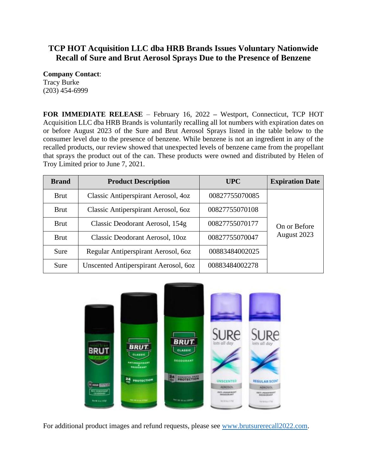## **TCP HOT Acquisition LLC dba HRB Brands Issues Voluntary Nationwide Recall of Sure and Brut Aerosol Sprays Due to the Presence of Benzene**

**Company Contact**: Tracy Burke (203) 454-6999

**FOR IMMEDIATE RELEASE** – February 16, 2022 **–** Westport, Connecticut, TCP HOT Acquisition LLC dba HRB Brands is voluntarily recalling all lot numbers with expiration dates on or before August 2023 of the Sure and Brut Aerosol Sprays listed in the table below to the consumer level due to the presence of benzene. While benzene is not an ingredient in any of the recalled products, our review showed that unexpected levels of benzene came from the propellant that sprays the product out of the can. These products were owned and distributed by Helen of Troy Limited prior to June 7, 2021.

| <b>Brand</b> | <b>Product Description</b>            | <b>UPC</b>     | <b>Expiration Date</b>      |
|--------------|---------------------------------------|----------------|-----------------------------|
| <b>Brut</b>  | Classic Antiperspirant Aerosol, 4oz   | 00827755070085 | On or Before<br>August 2023 |
| <b>Brut</b>  | Classic Antiperspirant Aerosol, 6oz   | 00827755070108 |                             |
| <b>Brut</b>  | Classic Deodorant Aerosol, 154g       | 00827755070177 |                             |
| <b>Brut</b>  | Classic Deodorant Aerosol, 10oz       | 00827755070047 |                             |
| Sure         | Regular Antiperspirant Aerosol, 60z   | 00883484002025 |                             |
| Sure         | Unscented Antiperspirant Aerosol, 6oz | 00883484002278 |                             |



For additional product images and refund requests, please see [www.brutsurerecall2022.com.](http://www.brutsurerecall2022.com/)